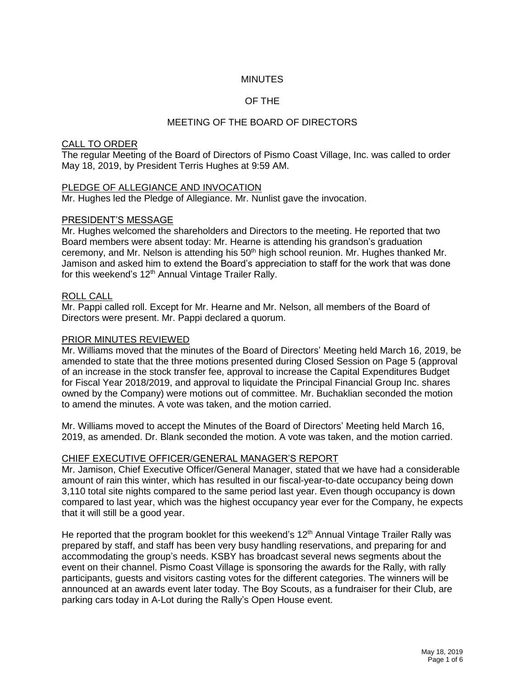# **MINUTES**

# OF THE

# MEETING OF THE BOARD OF DIRECTORS

#### CALL TO ORDER

The regular Meeting of the Board of Directors of Pismo Coast Village, Inc. was called to order May 18, 2019, by President Terris Hughes at 9:59 AM.

#### PLEDGE OF ALLEGIANCE AND INVOCATION

Mr. Hughes led the Pledge of Allegiance. Mr. Nunlist gave the invocation.

#### PRESIDENT'S MESSAGE

Mr. Hughes welcomed the shareholders and Directors to the meeting. He reported that two Board members were absent today: Mr. Hearne is attending his grandson's graduation ceremony, and Mr. Nelson is attending his 50<sup>th</sup> high school reunion. Mr. Hughes thanked Mr. Jamison and asked him to extend the Board's appreciation to staff for the work that was done for this weekend's 12<sup>th</sup> Annual Vintage Trailer Rally.

#### ROLL CALL

Mr. Pappi called roll. Except for Mr. Hearne and Mr. Nelson, all members of the Board of Directors were present. Mr. Pappi declared a quorum.

#### PRIOR MINUTES REVIEWED

Mr. Williams moved that the minutes of the Board of Directors' Meeting held March 16, 2019, be amended to state that the three motions presented during Closed Session on Page 5 (approval of an increase in the stock transfer fee, approval to increase the Capital Expenditures Budget for Fiscal Year 2018/2019, and approval to liquidate the Principal Financial Group Inc. shares owned by the Company) were motions out of committee. Mr. Buchaklian seconded the motion to amend the minutes. A vote was taken, and the motion carried.

Mr. Williams moved to accept the Minutes of the Board of Directors' Meeting held March 16, 2019, as amended. Dr. Blank seconded the motion. A vote was taken, and the motion carried.

#### CHIEF EXECUTIVE OFFICER/GENERAL MANAGER'S REPORT

Mr. Jamison, Chief Executive Officer/General Manager, stated that we have had a considerable amount of rain this winter, which has resulted in our fiscal-year-to-date occupancy being down 3,110 total site nights compared to the same period last year. Even though occupancy is down compared to last year, which was the highest occupancy year ever for the Company, he expects that it will still be a good year.

He reported that the program booklet for this weekend's  $12<sup>th</sup>$  Annual Vintage Trailer Rally was prepared by staff, and staff has been very busy handling reservations, and preparing for and accommodating the group's needs. KSBY has broadcast several news segments about the event on their channel. Pismo Coast Village is sponsoring the awards for the Rally, with rally participants, guests and visitors casting votes for the different categories. The winners will be announced at an awards event later today. The Boy Scouts, as a fundraiser for their Club, are parking cars today in A-Lot during the Rally's Open House event.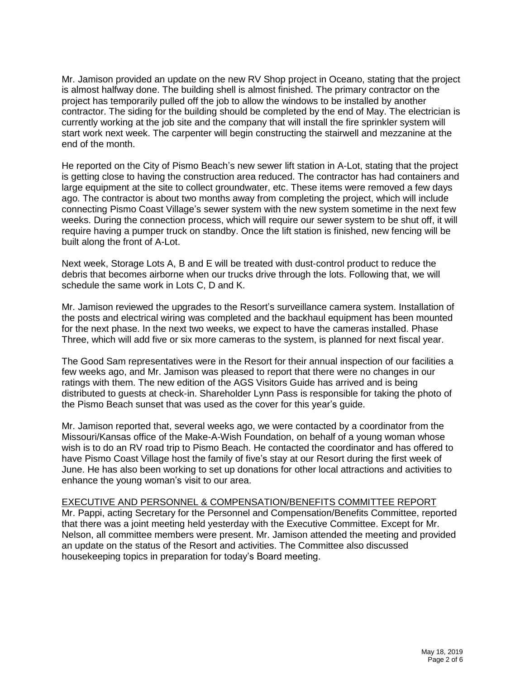Mr. Jamison provided an update on the new RV Shop project in Oceano, stating that the project is almost halfway done. The building shell is almost finished. The primary contractor on the project has temporarily pulled off the job to allow the windows to be installed by another contractor. The siding for the building should be completed by the end of May. The electrician is currently working at the job site and the company that will install the fire sprinkler system will start work next week. The carpenter will begin constructing the stairwell and mezzanine at the end of the month.

He reported on the City of Pismo Beach's new sewer lift station in A-Lot, stating that the project is getting close to having the construction area reduced. The contractor has had containers and large equipment at the site to collect groundwater, etc. These items were removed a few days ago. The contractor is about two months away from completing the project, which will include connecting Pismo Coast Village's sewer system with the new system sometime in the next few weeks. During the connection process, which will require our sewer system to be shut off, it will require having a pumper truck on standby. Once the lift station is finished, new fencing will be built along the front of A-Lot.

Next week, Storage Lots A, B and E will be treated with dust-control product to reduce the debris that becomes airborne when our trucks drive through the lots. Following that, we will schedule the same work in Lots C, D and K.

Mr. Jamison reviewed the upgrades to the Resort's surveillance camera system. Installation of the posts and electrical wiring was completed and the backhaul equipment has been mounted for the next phase. In the next two weeks, we expect to have the cameras installed. Phase Three, which will add five or six more cameras to the system, is planned for next fiscal year.

The Good Sam representatives were in the Resort for their annual inspection of our facilities a few weeks ago, and Mr. Jamison was pleased to report that there were no changes in our ratings with them. The new edition of the AGS Visitors Guide has arrived and is being distributed to guests at check-in. Shareholder Lynn Pass is responsible for taking the photo of the Pismo Beach sunset that was used as the cover for this year's guide.

Mr. Jamison reported that, several weeks ago, we were contacted by a coordinator from the Missouri/Kansas office of the Make-A-Wish Foundation, on behalf of a young woman whose wish is to do an RV road trip to Pismo Beach. He contacted the coordinator and has offered to have Pismo Coast Village host the family of five's stay at our Resort during the first week of June. He has also been working to set up donations for other local attractions and activities to enhance the young woman's visit to our area.

### EXECUTIVE AND PERSONNEL & COMPENSATION/BENEFITS COMMITTEE REPORT

Mr. Pappi, acting Secretary for the Personnel and Compensation/Benefits Committee, reported that there was a joint meeting held yesterday with the Executive Committee. Except for Mr. Nelson, all committee members were present. Mr. Jamison attended the meeting and provided an update on the status of the Resort and activities. The Committee also discussed housekeeping topics in preparation for today's Board meeting.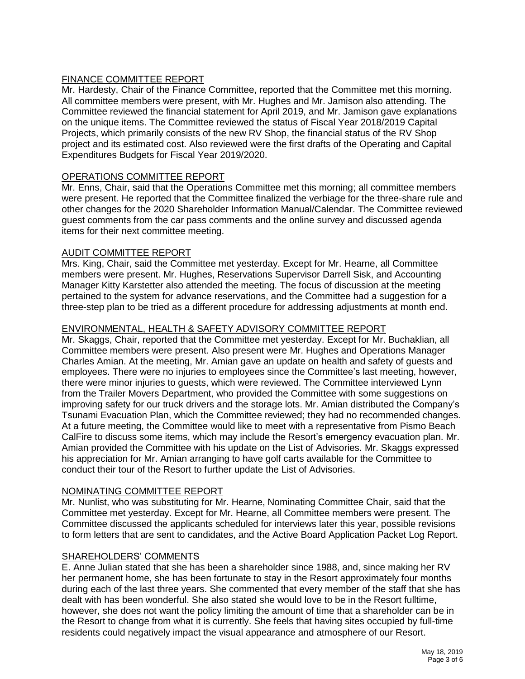# FINANCE COMMITTEE REPORT

Mr. Hardesty, Chair of the Finance Committee, reported that the Committee met this morning. All committee members were present, with Mr. Hughes and Mr. Jamison also attending. The Committee reviewed the financial statement for April 2019, and Mr. Jamison gave explanations on the unique items. The Committee reviewed the status of Fiscal Year 2018/2019 Capital Projects, which primarily consists of the new RV Shop, the financial status of the RV Shop project and its estimated cost. Also reviewed were the first drafts of the Operating and Capital Expenditures Budgets for Fiscal Year 2019/2020.

### OPERATIONS COMMITTEE REPORT

Mr. Enns, Chair, said that the Operations Committee met this morning; all committee members were present. He reported that the Committee finalized the verbiage for the three-share rule and other changes for the 2020 Shareholder Information Manual/Calendar. The Committee reviewed guest comments from the car pass comments and the online survey and discussed agenda items for their next committee meeting.

### AUDIT COMMITTEE REPORT

Mrs. King, Chair, said the Committee met yesterday. Except for Mr. Hearne, all Committee members were present. Mr. Hughes, Reservations Supervisor Darrell Sisk, and Accounting Manager Kitty Karstetter also attended the meeting. The focus of discussion at the meeting pertained to the system for advance reservations, and the Committee had a suggestion for a three-step plan to be tried as a different procedure for addressing adjustments at month end.

# ENVIRONMENTAL, HEALTH & SAFETY ADVISORY COMMITTEE REPORT

Mr. Skaggs, Chair, reported that the Committee met yesterday. Except for Mr. Buchaklian, all Committee members were present. Also present were Mr. Hughes and Operations Manager Charles Amian. At the meeting, Mr. Amian gave an update on health and safety of guests and employees. There were no injuries to employees since the Committee's last meeting, however, there were minor injuries to guests, which were reviewed. The Committee interviewed Lynn from the Trailer Movers Department, who provided the Committee with some suggestions on improving safety for our truck drivers and the storage lots. Mr. Amian distributed the Company's Tsunami Evacuation Plan, which the Committee reviewed; they had no recommended changes. At a future meeting, the Committee would like to meet with a representative from Pismo Beach CalFire to discuss some items, which may include the Resort's emergency evacuation plan. Mr. Amian provided the Committee with his update on the List of Advisories. Mr. Skaggs expressed his appreciation for Mr. Amian arranging to have golf carts available for the Committee to conduct their tour of the Resort to further update the List of Advisories.

# NOMINATING COMMITTEE REPORT

Mr. Nunlist, who was substituting for Mr. Hearne, Nominating Committee Chair, said that the Committee met yesterday. Except for Mr. Hearne, all Committee members were present. The Committee discussed the applicants scheduled for interviews later this year, possible revisions to form letters that are sent to candidates, and the Active Board Application Packet Log Report.

# SHAREHOLDERS' COMMENTS

E. Anne Julian stated that she has been a shareholder since 1988, and, since making her RV her permanent home, she has been fortunate to stay in the Resort approximately four months during each of the last three years. She commented that every member of the staff that she has dealt with has been wonderful. She also stated she would love to be in the Resort fulltime, however, she does not want the policy limiting the amount of time that a shareholder can be in the Resort to change from what it is currently. She feels that having sites occupied by full-time residents could negatively impact the visual appearance and atmosphere of our Resort.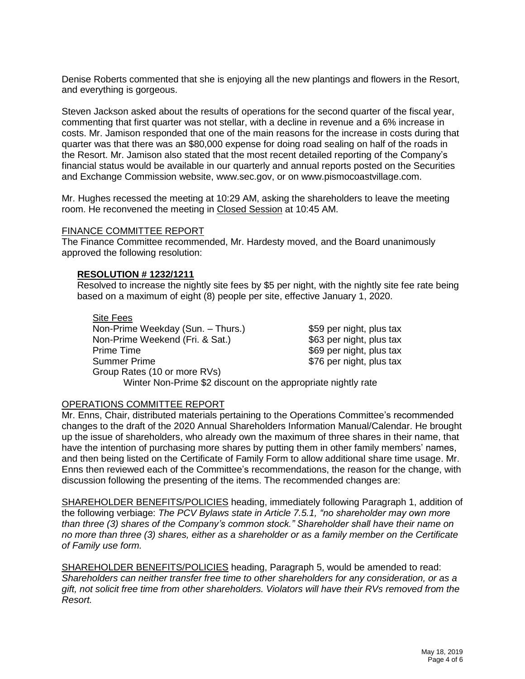Denise Roberts commented that she is enjoying all the new plantings and flowers in the Resort, and everything is gorgeous.

Steven Jackson asked about the results of operations for the second quarter of the fiscal year, commenting that first quarter was not stellar, with a decline in revenue and a 6% increase in costs. Mr. Jamison responded that one of the main reasons for the increase in costs during that quarter was that there was an \$80,000 expense for doing road sealing on half of the roads in the Resort. Mr. Jamison also stated that the most recent detailed reporting of the Company's financial status would be available in our quarterly and annual reports posted on the Securities and Exchange Commission website, www.sec.gov, or on www.pismocoastvillage.com.

Mr. Hughes recessed the meeting at 10:29 AM, asking the shareholders to leave the meeting room. He reconvened the meeting in Closed Session at 10:45 AM.

#### FINANCE COMMITTEE REPORT

The Finance Committee recommended, Mr. Hardesty moved, and the Board unanimously approved the following resolution:

### **RESOLUTION # 1232/1211**

Resolved to increase the nightly site fees by \$5 per night, with the nightly site fee rate being based on a maximum of eight (8) people per site, effective January 1, 2020.

Site Fees Non-Prime Weekday (Sun. – Thurs.) \$59 per night, plus tax Non-Prime Weekend (Fri. & Sat.) \$63 per night, plus tax Prime Time **Example 2018** 2019 12:30 Prime Time 369 per night, plus tax Summer Prime  $\sim$  \$76 per night, plus tax Group Rates (10 or more RVs)

Winter Non-Prime \$2 discount on the appropriate nightly rate

### OPERATIONS COMMITTEE REPORT

Mr. Enns, Chair, distributed materials pertaining to the Operations Committee's recommended changes to the draft of the 2020 Annual Shareholders Information Manual/Calendar. He brought up the issue of shareholders, who already own the maximum of three shares in their name, that have the intention of purchasing more shares by putting them in other family members' names, and then being listed on the Certificate of Family Form to allow additional share time usage. Mr. Enns then reviewed each of the Committee's recommendations, the reason for the change, with discussion following the presenting of the items. The recommended changes are:

SHAREHOLDER BENEFITS/POLICIES heading, immediately following Paragraph 1, addition of the following verbiage: *The PCV Bylaws state in Article 7.5.1, "no shareholder may own more than three (3) shares of the Company's common stock." Shareholder shall have their name on no more than three (3) shares, either as a shareholder or as a family member on the Certificate of Family use form.*

SHAREHOLDER BENEFITS/POLICIES heading, Paragraph 5, would be amended to read: *Shareholders can neither transfer free time to other shareholders for any consideration, or as a gift, not solicit free time from other shareholders. Violators will have their RVs removed from the Resort.*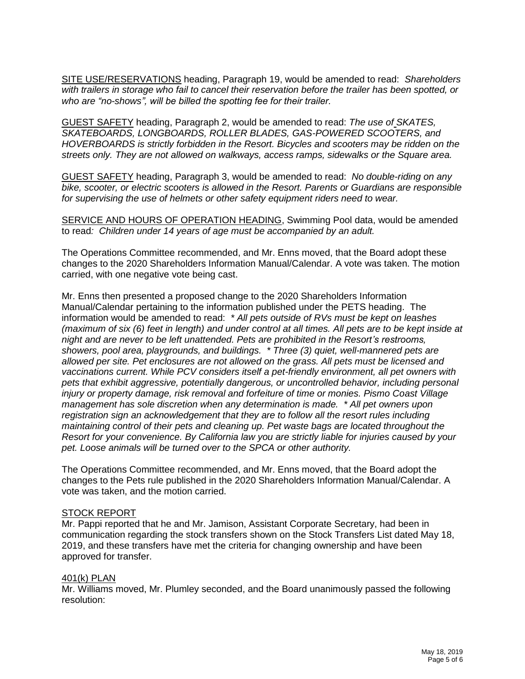SITE USE/RESERVATIONS heading, Paragraph 19, would be amended to read: *Shareholders with trailers in storage who fail to cancel their reservation before the trailer has been spotted, or who are "no-shows", will be billed the spotting fee for their trailer.*

GUEST SAFETY heading, Paragraph 2, would be amended to read: *The use of SKATES, SKATEBOARDS, LONGBOARDS, ROLLER BLADES, GAS-POWERED SCOOTERS, and HOVERBOARDS is strictly forbidden in the Resort. Bicycles and scooters may be ridden on the streets only. They are not allowed on walkways, access ramps, sidewalks or the Square area.*

GUEST SAFETY heading, Paragraph 3, would be amended to read: *No double-riding on any bike, scooter, or electric scooters is allowed in the Resort. Parents or Guardians are responsible for supervising the use of helmets or other safety equipment riders need to wear.*

SERVICE AND HOURS OF OPERATION HEADING, Swimming Pool data, would be amended to read*: Children under 14 years of age must be accompanied by an adult.*

The Operations Committee recommended, and Mr. Enns moved, that the Board adopt these changes to the 2020 Shareholders Information Manual/Calendar. A vote was taken. The motion carried, with one negative vote being cast.

Mr. Enns then presented a proposed change to the 2020 Shareholders Information Manual/Calendar pertaining to the information published under the PETS heading. The information would be amended to read: *\* All pets outside of RVs must be kept on leashes (maximum of six (6) feet in length) and under control at all times. All pets are to be kept inside at night and are never to be left unattended. Pets are prohibited in the Resort's restrooms, showers, pool area, playgrounds, and buildings. \* Three (3) quiet, well-mannered pets are allowed per site. Pet enclosures are not allowed on the grass. All pets must be licensed and vaccinations current. While PCV considers itself a pet-friendly environment, all pet owners with pets that exhibit aggressive, potentially dangerous, or uncontrolled behavior, including personal injury or property damage, risk removal and forfeiture of time or monies. Pismo Coast Village management has sole discretion when any determination is made. \* All pet owners upon registration sign an acknowledgement that they are to follow all the resort rules including maintaining control of their pets and cleaning up. Pet waste bags are located throughout the Resort for your convenience. By California law you are strictly liable for injuries caused by your pet. Loose animals will be turned over to the SPCA or other authority.*

The Operations Committee recommended, and Mr. Enns moved, that the Board adopt the changes to the Pets rule published in the 2020 Shareholders Information Manual/Calendar. A vote was taken, and the motion carried.

### STOCK REPORT

Mr. Pappi reported that he and Mr. Jamison, Assistant Corporate Secretary, had been in communication regarding the stock transfers shown on the Stock Transfers List dated May 18, 2019, and these transfers have met the criteria for changing ownership and have been approved for transfer.

### 401(k) PLAN

Mr. Williams moved, Mr. Plumley seconded, and the Board unanimously passed the following resolution: